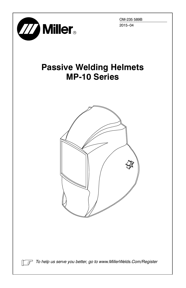

OM-235 589B 2015−04

# **Passive Welding Helmets MP-10 Series**



*To help us serve you better, go to www.MillerWelds.Com/Register*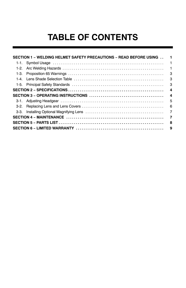# **TABLE OF CONTENTS**

|      | SECTION 1 - WELDING HELMET SAFETY PRECAUTIONS - READ BEFORE USING                                                               | 1                       |
|------|---------------------------------------------------------------------------------------------------------------------------------|-------------------------|
|      |                                                                                                                                 | 1                       |
| 1-2. |                                                                                                                                 | $\blacksquare$          |
|      |                                                                                                                                 | 3                       |
|      |                                                                                                                                 | 3                       |
|      |                                                                                                                                 | - 3                     |
|      |                                                                                                                                 | $\overline{\mathbf{4}}$ |
|      | SECTION 3 – OPERATING INSTRUCTIONS $\ldots \ldots \ldots \ldots \ldots \ldots \ldots \ldots \ldots \ldots \ldots \ldots \ldots$ | $\overline{\mathbf{4}}$ |
|      |                                                                                                                                 | 5                       |
|      |                                                                                                                                 | - 6                     |
|      |                                                                                                                                 |                         |
|      |                                                                                                                                 | 7                       |
|      |                                                                                                                                 | - 8                     |
|      |                                                                                                                                 | 9                       |
|      |                                                                                                                                 |                         |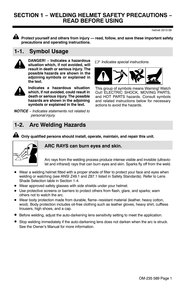## <span id="page-2-0"></span>**SECTION 1 − WELDING HELMET SAFETY PRECAUTIONS − READ BEFORE USING**

**Protect yourself and others from injury — read, follow, and save these important safety precautions and operating instructions.**

## **1-1. Symbol Usage**



DANGER! - Indicates a hazardous **situation which, if not avoided, will result in death or serious injury. The possible hazards are shown in the adjoining symbols or explained in the text.**



**Indicates a hazardous situation which, if not avoided, could result in death or serious injury. The possible hazards are shown in the adjoining symbols or explained in the text.**

*NOTICE* − *Indicates statements not related to personal injury.*

*Indicates special instructions.* **− Indicates a hazardous**



This group of symbols means Warning! Watch Out! ELECTRIC SHOCK, MOVING PARTS, and HOT PARTS hazards. Consult symbols and related instructions below for necessary actions to avoid the hazards.

## **1-2. Arc Welding Hazards**



### **Only qualified persons should install, operate, maintain, and repair this unit.**

### **ARC RAYS can burn eyes and skin.**

Arc rays from the welding process produce intense visible and invisible (ultraviolet and infrared) rays that can burn eyes and skin. Sparks fly off from the weld.

- Wear a welding helmet fitted with a proper shade of filter to protect your face and eyes when welding or watching (see ANSI Z49.1 and Z87.1 listed in Safety Standards). Refer to Lens Shade Selection table in Section [1-4.](#page-4-0)
- Wear approved safety glasses with side shields under your helmet.
- Use protective screens or barriers to protect others from flash, glare, and sparks; warn others not to watch the arc.
- Wear body protection made from durable, flame−resistant material (leather, heavy cotton, wool). Body protection includes oil-free clothing such as leather gloves, heavy shirt, cuffless trousers, high shoes, and a cap.
- Before welding, adjust the auto-darkening lens sensitivity setting to meet the application.
- Stop welding immediately if the auto-darkening lens does not darken when the arc is struck. See the Owner's Manual for more information.

helmet 2013-09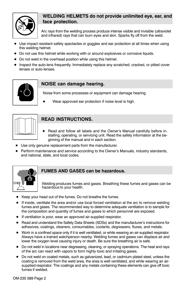

### **WELDING HELMETS do not provide unlimited eye, ear, and face protection.**

Arc rays from the welding process produce intense visible and invisible (ultraviolet and infrared) rays that can burn eyes and skin. Sparks fly off from the weld.

- Use impact resistant safety spectacles or goggles and ear protection at all times when using this welding helmet.
- Do not use this helmet while working with or around explosives or corrosive liquids.
- Do not weld in the overhead position while using this helmet.
- Inspect the auto-lens frequently. Immediately replace any scratched, cracked, or pitted cover lenses or auto-lenses.



#### **NOISE can damage hearing.**

Noise from some processes or equipment can damage hearing.

Wear approved ear protection if noise level is high.



### **READ INSTRUCTIONS.**

- Read and follow all labels and the Owner's Manual carefully before installing, operating, or servicing unit. Read the safety information at the beginning of the manual and in each section.
- Use only genuine replacement parts from the manufacturer.
- Perform maintenance and service according to the Owner's Manuals, industry standards, and national, state, and local codes.



#### **FUMES AND GASES can be hazardous.**

Welding produces fumes and gases. Breathing these fumes and gases can be hazardous to your health.

- Keep your head out of the fumes. Do not breathe the fumes.
- If inside, ventilate the area and/or use local forced ventilation at the arc to remove welding fumes and gases. The recommended way to determine adequate ventilation is to sample for the composition and quantity of fumes and gases to which personnel are exposed.
- If ventilation is poor, wear an approved air-supplied respirator.
- Read and understand the Safety Data Sheets (SDSs) and the manufacturer's instructions for adhesives, coatings, cleaners, consumables, coolants, degreasers, fluxes, and metals.
- Work in a confined space only if it is well ventilated, or while wearing an air-supplied respirator. Always have a trained watchperson nearby. Welding fumes and gases can displace air and lower the oxygen level causing injury or death. Be sure the breathing air is safe.
- Do not weld in locations near degreasing, cleaning, or spraying operations. The heat and rays of the arc can react with vapors to form highly toxic and irritating gases.
- Do not weld on coated metals, such as galvanized, lead, or cadmium plated steel, unless the coating is removed from the weld area, the area is well ventilated, and while wearing an airsupplied respirator. The coatings and any metals containing these elements can give off toxic fumes if welded.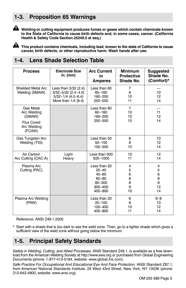## <span id="page-4-0"></span>**1-3. Proposition 65 Warnings**



**Welding or cutting equipment produces fumes or gases which contain chemicals known to the State of California to cause birth defects and, in some cases, cancer. (California Health & Safety Code Section 25249.5 et seq.)**

**This product contains chemicals, including lead, known to the state of California to cause cancer, birth defects, or other reproductive harm.** *Wash hands after use.*

## **1-4. Lens Shade Selection Table**

| <b>Process</b>                                                                   | Electrode Size<br>in. (mm)                                                                         | <b>Arc Current</b><br>in<br><b>Amperes</b>                                              | <b>Minimum</b><br><b>Protective</b><br>Shade No. | <b>Suggested</b><br>Shade No.<br>(Comfort)*    |
|----------------------------------------------------------------------------------|----------------------------------------------------------------------------------------------------|-----------------------------------------------------------------------------------------|--------------------------------------------------|------------------------------------------------|
| Shielded Metal Arc<br>Welding (SMAW)                                             | Less than 3/32 (2.4)<br>$3/32 - 5/32$ (2.4-4.0)<br>$5/32 - 1/4$ (4.0-6.4)<br>More than $1/4$ (6.4) | Less than 60<br>$60 - 160$<br>160-250<br>250-550                                        | $\overline{7}$<br>8<br>10<br>11                  | 10<br>12<br>14                                 |
| Gas Metal<br>Arc Welding<br>(GMAW)<br><b>Flux Cored</b><br>Arc Welding<br>(FCAW) |                                                                                                    | Less than 60<br>$60 - 160$<br>160-250<br>250-500                                        | $\overline{7}$<br>10<br>10<br>10                 | 11<br>12<br>14                                 |
| Gas Tungsten Arc<br>Welding (TIG)                                                |                                                                                                    | Less than 50<br>$50 - 150$<br>150-500                                                   | 8<br>8<br>10                                     | 10<br>12<br>14                                 |
| Air Carbon<br>Arc Cutting (CAC-A)                                                | Light<br>Heavy                                                                                     | Less than 500<br>500-1000                                                               | 10<br>11                                         | 12<br>14                                       |
| Plasma Arc<br>Cutting (PAC)                                                      |                                                                                                    | Less than 20<br>$20 - 40$<br>$40 - 60$<br>$60 - 80$<br>80-300<br>$300 - 400$<br>400-800 | 4<br>5<br>6<br>8<br>8<br>9<br>10                 | $\overline{4}$<br>5<br>6<br>8<br>9<br>12<br>14 |
| Plasma Arc Welding<br>(PAW)                                                      |                                                                                                    | Less than 20<br>$20 - 100$<br>$100 - 400$<br>400-800                                    | 6<br>8<br>10<br>11                               | $6 - 8$<br>10<br>12<br>14                      |

Reference: ANSI Z49.1:2005

\* Start with a shade that is too dark to see the weld zone. Then, go to a lighter shade which gives a sufficient view of the weld zone without going below the minimum.

## **1-5. Principal Safety Standards**

*Safety in Welding, Cutting, and Allied Processes,* ANSI Standard Z49.1, is available as a free download from the American Welding Society at http://www.aws.org or purchased from Global Engineering Documents (phone: 1-877-413-5184, website: www.global.ihs.com).

*Safe Practice For Occupational And Educational Eye And Face Protection,* ANSI Standard Z87.1, from American National Standards Institute, 25 West 43rd Street, New York, NY 10036 (phone: 212-642-4900, website: www.ansi.org).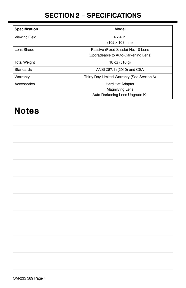## **SECTION 2 − SPECIFICATIONS**

<span id="page-5-0"></span>

| Specification        | Model                                       |  |  |
|----------------------|---------------------------------------------|--|--|
| <b>Viewing Field</b> | $4 \times 4$ in.                            |  |  |
|                      | $(102 \times 108 \text{ mm})$               |  |  |
| Lens Shade           | Passive (Fixed Shade) No. 10 Lens           |  |  |
|                      | (Upgradeable to Auto-Darkening Lens)        |  |  |
| <b>Total Weight</b>  | 18 oz (510 g)                               |  |  |
| Standards            | ANSI Z87.1+(2010) and CSA                   |  |  |
| Warranty             | Thirty Day Limited Warranty (See Section 6) |  |  |
| Accessories          | <b>Hard Hat Adapter</b>                     |  |  |
|                      | Magnifying Lens                             |  |  |
|                      | Auto-Darkening Lens Upgrade Kit             |  |  |

# **Notes**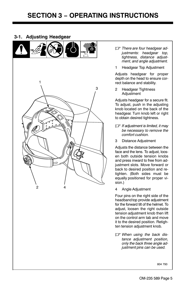#### <span id="page-6-0"></span>**3-1. Adjusting Headgear**



- *There are four headgear adjustments: headgear top, tightness, distance adjustment, and angle adjustment.*
- 1 Headgear Top Adjustment

Adjusts headgear for proper depth on the head to ensure correct balance and stability.

2 Headgear Tightness **Adjustment** 

Adjusts headgear for a secure fit. To adjust, push in the adjusting knob located on the back of the headgear. Turn knob left or right to obtain desired tightness.

- *If adjustment is limited, it may be necessary to remove the comfort cushion.*
- 3 Distance Adjustment

Adjusts the distance between the face and the lens. To adjust, loosen both outside tension knobs and press inward to free from adjustment slots. Move forward or back to desired position and retighten. (Both sides must be equally positioned for proper vision.)

4 Angle Adjustment

Four pins on the right side of the headband top provide adjustment for the forward tilt of the helmet. To adjust, loosen the right outside tension adjustment knob then lift on the control arm tab and move it to the desired position. Retighten tension adjustment knob.

- *When using the back distance adjustment position, only the back three angle adjustment pins can be used.*

804 793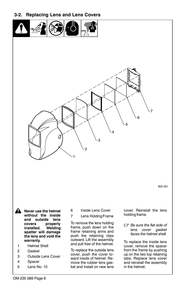<span id="page-7-0"></span>**3-2. Replacing Lens and Lens Covers**





805 051

**! Never use the helmet without the inside and outside lens** properly **installed. Welding spatter will damage the lens and void the warranty.**

- 1 Helmet Shell
- 2 Gasket
- 3 Outside Lens Cover
- 4 Spacer
- 5 Lens No. 10
- 6 Inside Lens Cover
- 7 Lens Holding Frame

To remove the lens holding frame, push down on the frame retaining arms and push the retaining clips outward. Lift the assembly and pull free of the helmet.

To replace the outside lens cover, push the cover toward inside of helmet. Remove the rubber lens gasket and install on new lens

cover. Reinstall the lens holding frame.

- *Be sure the flat side of lens cover gasket faces the helmet shell.*

To replace the inside lens cover, remove the spacer from the frame by pushing up on the two top retaining tabs. Replace lens cover and reinstall the assembly in the helmet.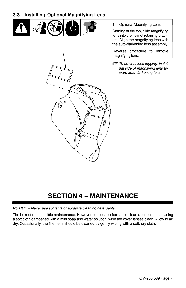### <span id="page-8-0"></span>**3-3. Installing Optional Magnifying Lens**

1

**d** Ő.



1 Optional Magnifying Lens

Starting at the top, slide magnifying lens into the helmet retaining brackets. Align the magnifying lens with the auto-darkening lens assembly.

Reverse procedure to remove magnifying lens.

- *To prevent lens fogging, install flat side of magnifying lens toward auto-darkening lens.*

# **SECTION 4 − MAINTENANCE**

#### *NOTICE* − *Never use solvents or abrasive cleaning detergents.*

The helmet requires little maintenance. However, for best performance clean after each use. Using a soft cloth dampened with a mild soap and water solution, wipe the cover lenses clean. Allow to air dry. Occasionally, the filter lens should be cleaned by gently wiping with a soft, dry cloth.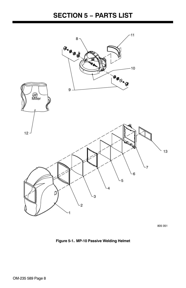## **SECTION 5 − PARTS LIST**

<span id="page-9-0"></span>

805 051

**Figure 5-1. MP-10 Passive Welding Helmet**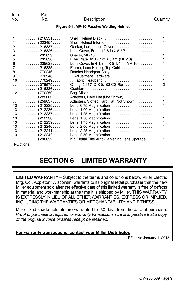| Figure 5-1. MP-10 Passive Welding Helmet |  |  |
|------------------------------------------|--|--|
|                                          |  |  |

<span id="page-10-0"></span>

| 3  216326Lens Cover, Frt 4-11/16 In X 5-5/8 In            |
|-----------------------------------------------------------|
|                                                           |
|                                                           |
| 6  235628Lens Cover, In 4-1/2 In X 5-1/4 In (MP-10) 1     |
|                                                           |
|                                                           |
|                                                           |
|                                                           |
|                                                           |
|                                                           |
|                                                           |
|                                                           |
| ♦ 259637 Adapters, Slotted Hard Hat (Not Shown)  1        |
|                                                           |
|                                                           |
|                                                           |
|                                                           |
|                                                           |
|                                                           |
|                                                           |
|                                                           |
| ♦236052 Kit, Digital Elite Auto-Darkening Lens Upgrade  1 |
|                                                           |
| ♦ Optional                                                |

## **SECTION 6 − LIMITED WARRANTY**

**LIMITED WARRANTY** – Subject to the terms and conditions below. Miller Electric Mfg. Co., Appleton, Wisconsin, warrants to its original retail purchaser that the new Miller equipment sold after the effective date of this limited warranty is free of defects in material and workmanship at the time it is shipped by Miller. THIS WARRANTY IS EXPRESSLY IN LIEU OF ALL OTHER WARRANTIES, EXPRESS OR IMPLIED, INCLUDING THE WARRANTIES OR MERCHANTABILITY AND FITNESS.

Miller fixed shade helmets are warranted for 30 days from the date of purchase. *Proof of purchase is required for warranty transactions so it is imperative that a copy of the original invoice or sales receipt be retained.*

#### **For warranty transactions, contact your Miller Distributor.**

Effective January 1, 2015